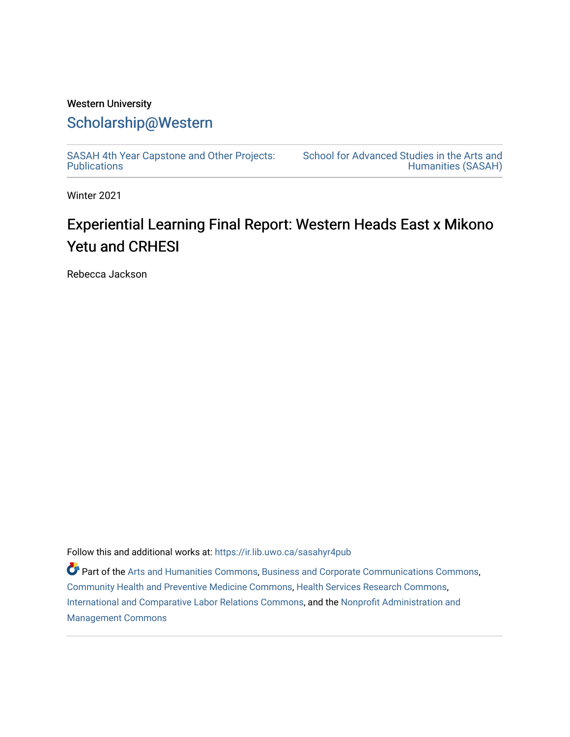# Western University [Scholarship@Western](https://ir.lib.uwo.ca/)

[SASAH 4th Year Capstone and Other Projects:](https://ir.lib.uwo.ca/sasahyr4pub)  **Publications** 

[School for Advanced Studies in the Arts and](https://ir.lib.uwo.ca/sasah)  [Humanities \(SASAH\)](https://ir.lib.uwo.ca/sasah) 

Winter 2021

# Experiential Learning Final Report: Western Heads East x Mikono Yetu and CRHESI

Rebecca Jackson

Follow this and additional works at: [https://ir.lib.uwo.ca/sasahyr4pub](https://ir.lib.uwo.ca/sasahyr4pub?utm_source=ir.lib.uwo.ca%2Fsasahyr4pub%2F35&utm_medium=PDF&utm_campaign=PDFCoverPages) 

Part of the [Arts and Humanities Commons,](http://network.bepress.com/hgg/discipline/438?utm_source=ir.lib.uwo.ca%2Fsasahyr4pub%2F35&utm_medium=PDF&utm_campaign=PDFCoverPages) [Business and Corporate Communications Commons](http://network.bepress.com/hgg/discipline/627?utm_source=ir.lib.uwo.ca%2Fsasahyr4pub%2F35&utm_medium=PDF&utm_campaign=PDFCoverPages), [Community Health and Preventive Medicine Commons](http://network.bepress.com/hgg/discipline/744?utm_source=ir.lib.uwo.ca%2Fsasahyr4pub%2F35&utm_medium=PDF&utm_campaign=PDFCoverPages), [Health Services Research Commons](http://network.bepress.com/hgg/discipline/816?utm_source=ir.lib.uwo.ca%2Fsasahyr4pub%2F35&utm_medium=PDF&utm_campaign=PDFCoverPages), [International and Comparative Labor Relations Commons](http://network.bepress.com/hgg/discipline/1259?utm_source=ir.lib.uwo.ca%2Fsasahyr4pub%2F35&utm_medium=PDF&utm_campaign=PDFCoverPages), and the [Nonprofit Administration and](http://network.bepress.com/hgg/discipline/1228?utm_source=ir.lib.uwo.ca%2Fsasahyr4pub%2F35&utm_medium=PDF&utm_campaign=PDFCoverPages)  [Management Commons](http://network.bepress.com/hgg/discipline/1228?utm_source=ir.lib.uwo.ca%2Fsasahyr4pub%2F35&utm_medium=PDF&utm_campaign=PDFCoverPages)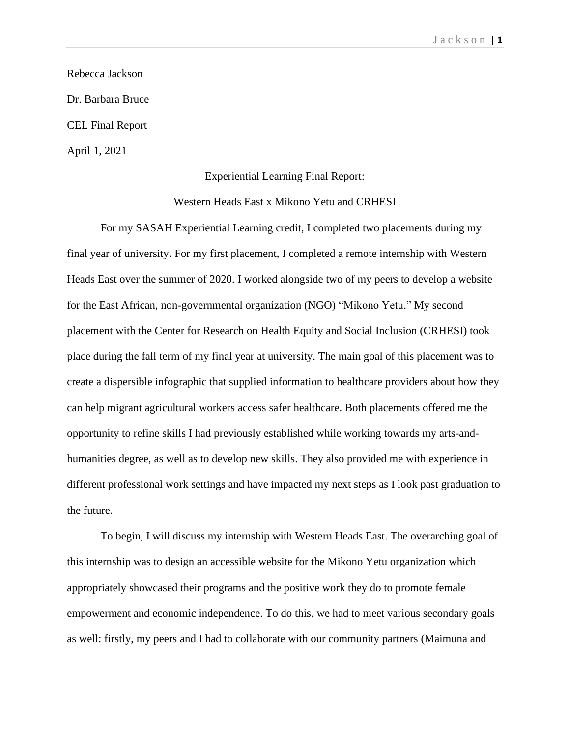Rebecca Jackson Dr. Barbara Bruce CEL Final Report April 1, 2021

#### Experiential Learning Final Report:

Western Heads East x Mikono Yetu and CRHESI

For my SASAH Experiential Learning credit, I completed two placements during my final year of university. For my first placement, I completed a remote internship with Western Heads East over the summer of 2020. I worked alongside two of my peers to develop a website for the East African, non-governmental organization (NGO) "Mikono Yetu." My second placement with the Center for Research on Health Equity and Social Inclusion (CRHESI) took place during the fall term of my final year at university. The main goal of this placement was to create a dispersible infographic that supplied information to healthcare providers about how they can help migrant agricultural workers access safer healthcare. Both placements offered me the opportunity to refine skills I had previously established while working towards my arts-andhumanities degree, as well as to develop new skills. They also provided me with experience in different professional work settings and have impacted my next steps as I look past graduation to the future.

To begin, I will discuss my internship with Western Heads East. The overarching goal of this internship was to design an accessible website for the Mikono Yetu organization which appropriately showcased their programs and the positive work they do to promote female empowerment and economic independence. To do this, we had to meet various secondary goals as well: firstly, my peers and I had to collaborate with our community partners (Maimuna and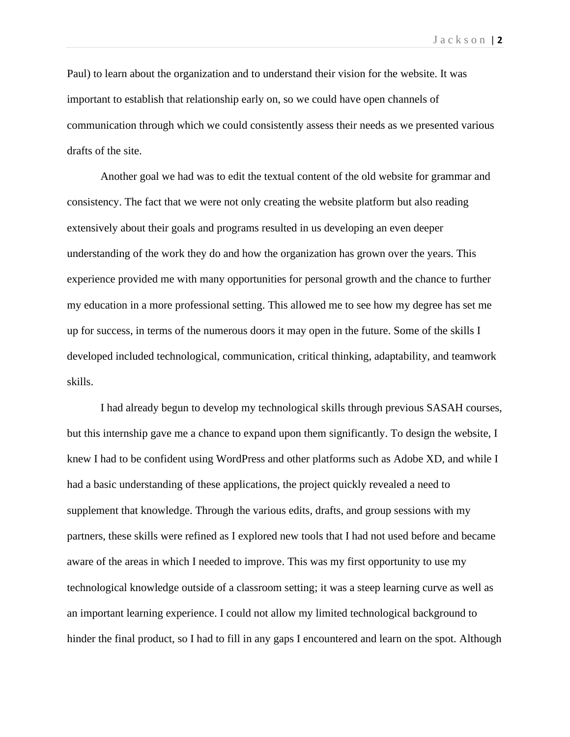Paul) to learn about the organization and to understand their vision for the website. It was important to establish that relationship early on, so we could have open channels of communication through which we could consistently assess their needs as we presented various drafts of the site.

Another goal we had was to edit the textual content of the old website for grammar and consistency. The fact that we were not only creating the website platform but also reading extensively about their goals and programs resulted in us developing an even deeper understanding of the work they do and how the organization has grown over the years. This experience provided me with many opportunities for personal growth and the chance to further my education in a more professional setting. This allowed me to see how my degree has set me up for success, in terms of the numerous doors it may open in the future. Some of the skills I developed included technological, communication, critical thinking, adaptability, and teamwork skills.

I had already begun to develop my technological skills through previous SASAH courses, but this internship gave me a chance to expand upon them significantly. To design the website, I knew I had to be confident using WordPress and other platforms such as Adobe XD, and while I had a basic understanding of these applications, the project quickly revealed a need to supplement that knowledge. Through the various edits, drafts, and group sessions with my partners, these skills were refined as I explored new tools that I had not used before and became aware of the areas in which I needed to improve. This was my first opportunity to use my technological knowledge outside of a classroom setting; it was a steep learning curve as well as an important learning experience. I could not allow my limited technological background to hinder the final product, so I had to fill in any gaps I encountered and learn on the spot. Although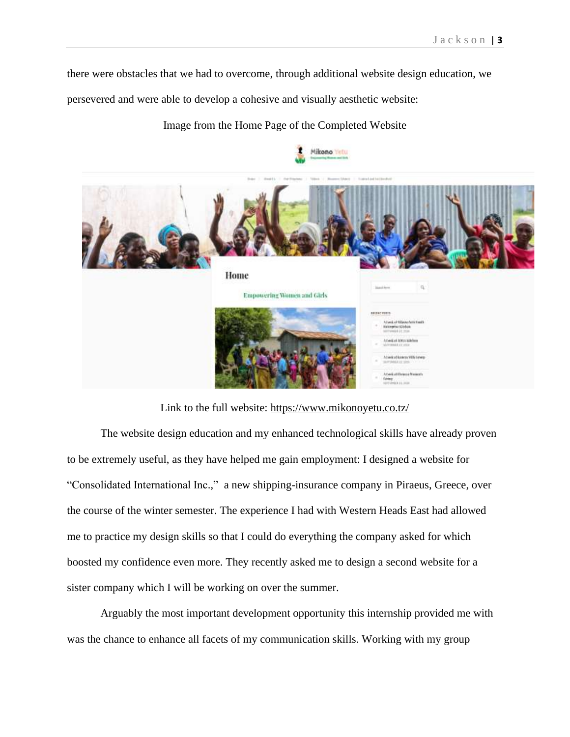there were obstacles that we had to overcome, through additional website design education, we

persevered and were able to develop a cohesive and visually aesthetic website:

### Image from the Home Page of the Completed Website



Link to the full website:<https://www.mikonoyetu.co.tz/>

The website design education and my enhanced technological skills have already proven to be extremely useful, as they have helped me gain employment: I designed a website for "Consolidated International Inc.," a new shipping-insurance company in Piraeus, Greece, over the course of the winter semester. The experience I had with Western Heads East had allowed me to practice my design skills so that I could do everything the company asked for which boosted my confidence even more. They recently asked me to design a second website for a sister company which I will be working on over the summer.

Arguably the most important development opportunity this internship provided me with was the chance to enhance all facets of my communication skills. Working with my group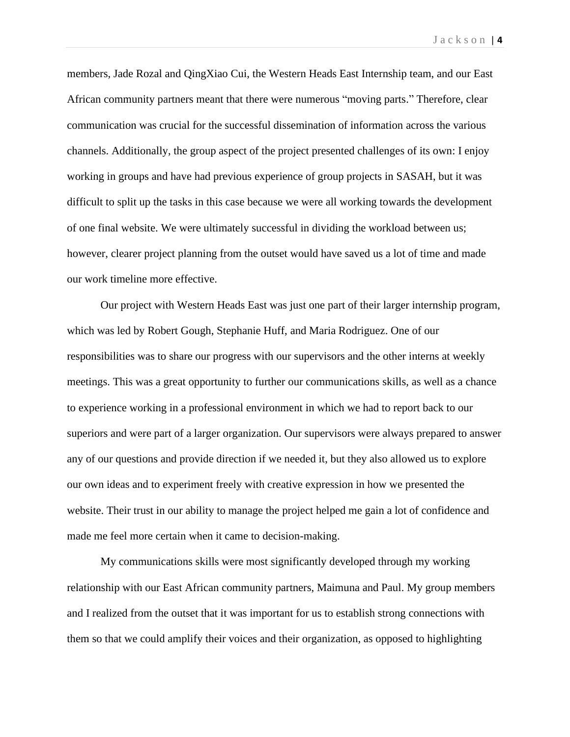members, Jade Rozal and QingXiao Cui, the Western Heads East Internship team, and our East African community partners meant that there were numerous "moving parts." Therefore, clear communication was crucial for the successful dissemination of information across the various channels. Additionally, the group aspect of the project presented challenges of its own: I enjoy working in groups and have had previous experience of group projects in SASAH, but it was difficult to split up the tasks in this case because we were all working towards the development of one final website. We were ultimately successful in dividing the workload between us; however, clearer project planning from the outset would have saved us a lot of time and made our work timeline more effective.

Our project with Western Heads East was just one part of their larger internship program, which was led by Robert Gough, Stephanie Huff, and Maria Rodriguez. One of our responsibilities was to share our progress with our supervisors and the other interns at weekly meetings. This was a great opportunity to further our communications skills, as well as a chance to experience working in a professional environment in which we had to report back to our superiors and were part of a larger organization. Our supervisors were always prepared to answer any of our questions and provide direction if we needed it, but they also allowed us to explore our own ideas and to experiment freely with creative expression in how we presented the website. Their trust in our ability to manage the project helped me gain a lot of confidence and made me feel more certain when it came to decision-making.

My communications skills were most significantly developed through my working relationship with our East African community partners, Maimuna and Paul. My group members and I realized from the outset that it was important for us to establish strong connections with them so that we could amplify their voices and their organization, as opposed to highlighting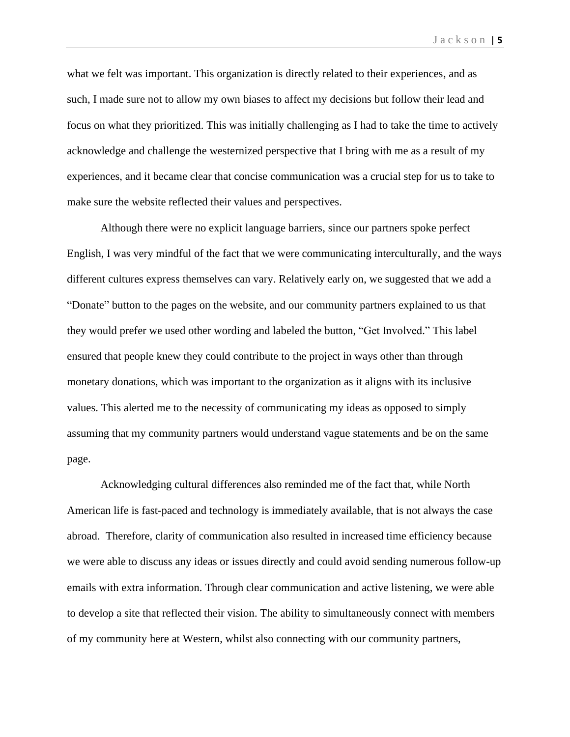what we felt was important. This organization is directly related to their experiences, and as such, I made sure not to allow my own biases to affect my decisions but follow their lead and focus on what they prioritized. This was initially challenging as I had to take the time to actively acknowledge and challenge the westernized perspective that I bring with me as a result of my experiences, and it became clear that concise communication was a crucial step for us to take to make sure the website reflected their values and perspectives.

Although there were no explicit language barriers, since our partners spoke perfect English, I was very mindful of the fact that we were communicating interculturally, and the ways different cultures express themselves can vary. Relatively early on, we suggested that we add a "Donate" button to the pages on the website, and our community partners explained to us that they would prefer we used other wording and labeled the button, "Get Involved." This label ensured that people knew they could contribute to the project in ways other than through monetary donations, which was important to the organization as it aligns with its inclusive values. This alerted me to the necessity of communicating my ideas as opposed to simply assuming that my community partners would understand vague statements and be on the same page.

Acknowledging cultural differences also reminded me of the fact that, while North American life is fast-paced and technology is immediately available, that is not always the case abroad. Therefore, clarity of communication also resulted in increased time efficiency because we were able to discuss any ideas or issues directly and could avoid sending numerous follow-up emails with extra information. Through clear communication and active listening, we were able to develop a site that reflected their vision. The ability to simultaneously connect with members of my community here at Western, whilst also connecting with our community partners,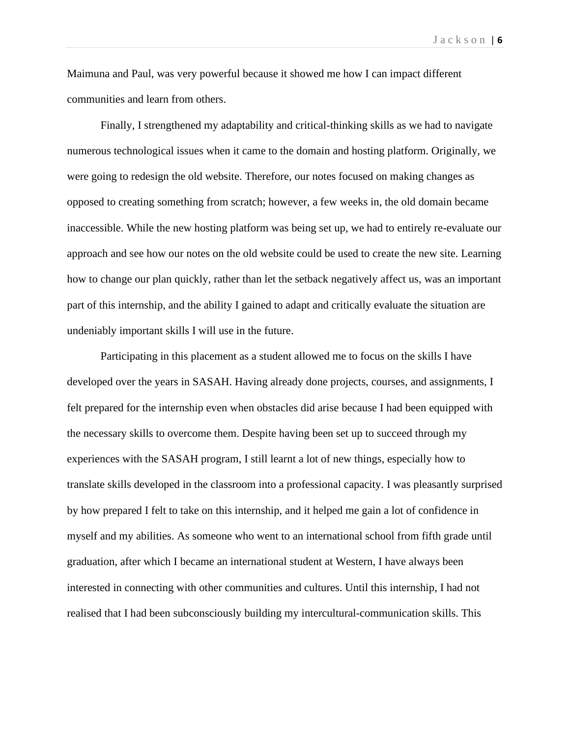Maimuna and Paul, was very powerful because it showed me how I can impact different communities and learn from others.

Finally, I strengthened my adaptability and critical-thinking skills as we had to navigate numerous technological issues when it came to the domain and hosting platform. Originally, we were going to redesign the old website. Therefore, our notes focused on making changes as opposed to creating something from scratch; however, a few weeks in, the old domain became inaccessible. While the new hosting platform was being set up, we had to entirely re-evaluate our approach and see how our notes on the old website could be used to create the new site. Learning how to change our plan quickly, rather than let the setback negatively affect us, was an important part of this internship, and the ability I gained to adapt and critically evaluate the situation are undeniably important skills I will use in the future.

Participating in this placement as a student allowed me to focus on the skills I have developed over the years in SASAH. Having already done projects, courses, and assignments, I felt prepared for the internship even when obstacles did arise because I had been equipped with the necessary skills to overcome them. Despite having been set up to succeed through my experiences with the SASAH program, I still learnt a lot of new things, especially how to translate skills developed in the classroom into a professional capacity. I was pleasantly surprised by how prepared I felt to take on this internship, and it helped me gain a lot of confidence in myself and my abilities. As someone who went to an international school from fifth grade until graduation, after which I became an international student at Western, I have always been interested in connecting with other communities and cultures. Until this internship, I had not realised that I had been subconsciously building my intercultural-communication skills. This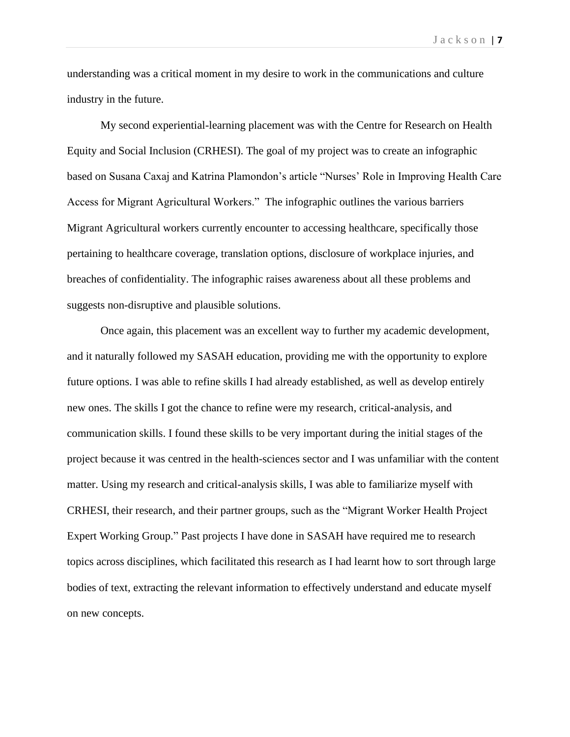understanding was a critical moment in my desire to work in the communications and culture industry in the future.

My second experiential-learning placement was with the Centre for Research on Health Equity and Social Inclusion (CRHESI). The goal of my project was to create an infographic based on Susana Caxaj and Katrina Plamondon's article "Nurses' Role in Improving Health Care Access for Migrant Agricultural Workers." The infographic outlines the various barriers Migrant Agricultural workers currently encounter to accessing healthcare, specifically those pertaining to healthcare coverage, translation options, disclosure of workplace injuries, and breaches of confidentiality. The infographic raises awareness about all these problems and suggests non-disruptive and plausible solutions.

Once again, this placement was an excellent way to further my academic development, and it naturally followed my SASAH education, providing me with the opportunity to explore future options. I was able to refine skills I had already established, as well as develop entirely new ones. The skills I got the chance to refine were my research, critical-analysis, and communication skills. I found these skills to be very important during the initial stages of the project because it was centred in the health-sciences sector and I was unfamiliar with the content matter. Using my research and critical-analysis skills, I was able to familiarize myself with CRHESI, their research, and their partner groups, such as the "Migrant Worker Health Project Expert Working Group." Past projects I have done in SASAH have required me to research topics across disciplines, which facilitated this research as I had learnt how to sort through large bodies of text, extracting the relevant information to effectively understand and educate myself on new concepts.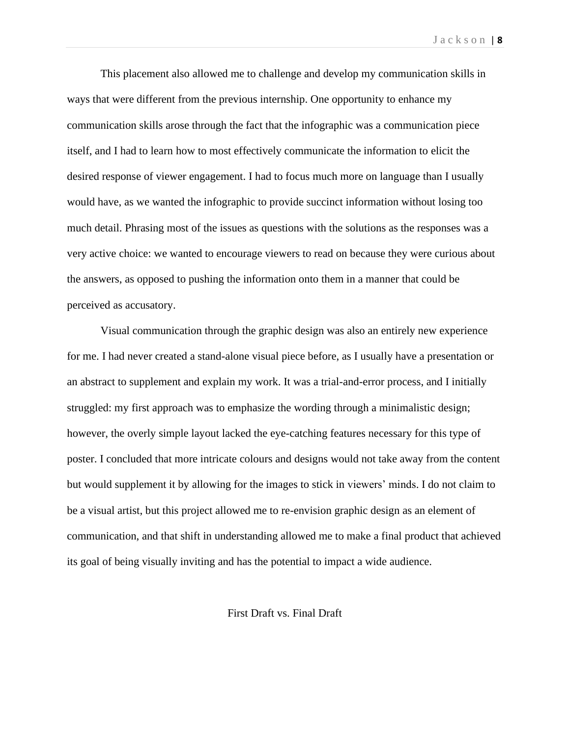This placement also allowed me to challenge and develop my communication skills in ways that were different from the previous internship. One opportunity to enhance my communication skills arose through the fact that the infographic was a communication piece itself, and I had to learn how to most effectively communicate the information to elicit the desired response of viewer engagement. I had to focus much more on language than I usually would have, as we wanted the infographic to provide succinct information without losing too much detail. Phrasing most of the issues as questions with the solutions as the responses was a very active choice: we wanted to encourage viewers to read on because they were curious about the answers, as opposed to pushing the information onto them in a manner that could be perceived as accusatory.

Visual communication through the graphic design was also an entirely new experience for me. I had never created a stand-alone visual piece before, as I usually have a presentation or an abstract to supplement and explain my work. It was a trial-and-error process, and I initially struggled: my first approach was to emphasize the wording through a minimalistic design; however, the overly simple layout lacked the eye-catching features necessary for this type of poster. I concluded that more intricate colours and designs would not take away from the content but would supplement it by allowing for the images to stick in viewers' minds. I do not claim to be a visual artist, but this project allowed me to re-envision graphic design as an element of communication, and that shift in understanding allowed me to make a final product that achieved its goal of being visually inviting and has the potential to impact a wide audience.

First Draft vs. Final Draft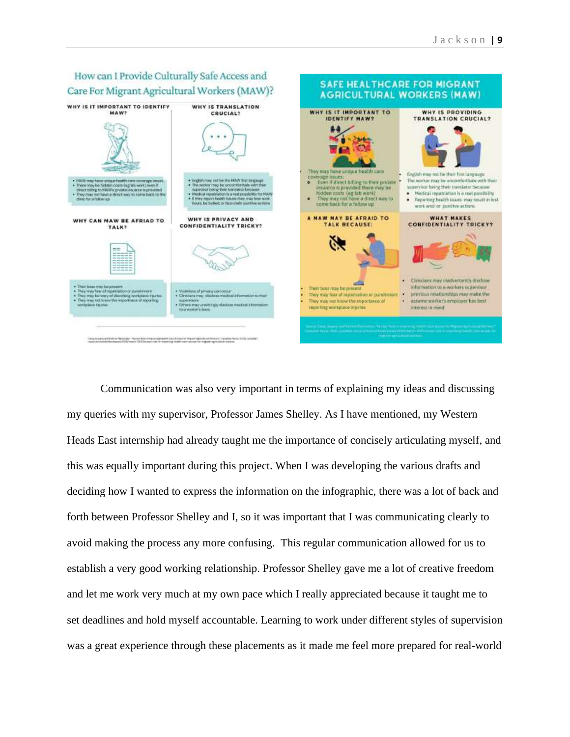

Communication was also very important in terms of explaining my ideas and discussing my queries with my supervisor, Professor James Shelley. As I have mentioned, my Western Heads East internship had already taught me the importance of concisely articulating myself, and this was equally important during this project. When I was developing the various drafts and deciding how I wanted to express the information on the infographic, there was a lot of back and forth between Professor Shelley and I, so it was important that I was communicating clearly to avoid making the process any more confusing. This regular communication allowed for us to establish a very good working relationship. Professor Shelley gave me a lot of creative freedom and let me work very much at my own pace which I really appreciated because it taught me to set deadlines and hold myself accountable. Learning to work under different styles of supervision was a great experience through these placements as it made me feel more prepared for real-world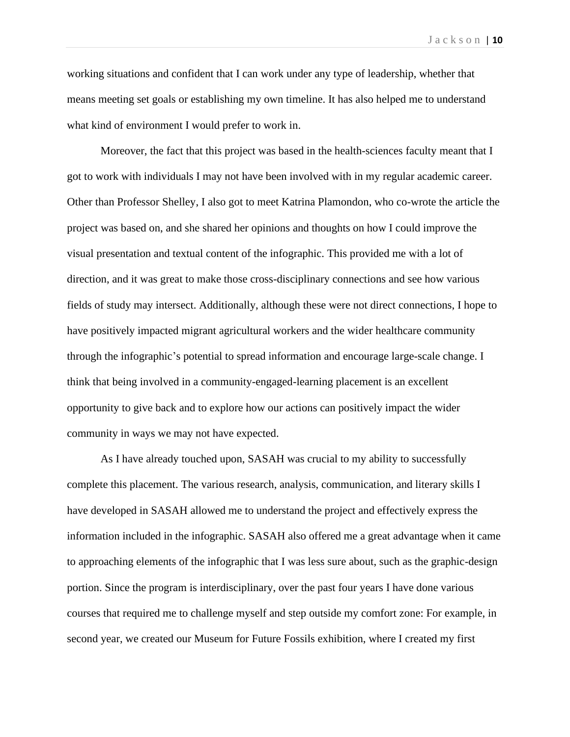working situations and confident that I can work under any type of leadership, whether that means meeting set goals or establishing my own timeline. It has also helped me to understand what kind of environment I would prefer to work in.

Moreover, the fact that this project was based in the health-sciences faculty meant that I got to work with individuals I may not have been involved with in my regular academic career. Other than Professor Shelley, I also got to meet Katrina Plamondon, who co-wrote the article the project was based on, and she shared her opinions and thoughts on how I could improve the visual presentation and textual content of the infographic. This provided me with a lot of direction, and it was great to make those cross-disciplinary connections and see how various fields of study may intersect. Additionally, although these were not direct connections, I hope to have positively impacted migrant agricultural workers and the wider healthcare community through the infographic's potential to spread information and encourage large-scale change. I think that being involved in a community-engaged-learning placement is an excellent opportunity to give back and to explore how our actions can positively impact the wider community in ways we may not have expected.

As I have already touched upon, SASAH was crucial to my ability to successfully complete this placement. The various research, analysis, communication, and literary skills I have developed in SASAH allowed me to understand the project and effectively express the information included in the infographic. SASAH also offered me a great advantage when it came to approaching elements of the infographic that I was less sure about, such as the graphic-design portion. Since the program is interdisciplinary, over the past four years I have done various courses that required me to challenge myself and step outside my comfort zone: For example, in second year, we created our Museum for Future Fossils exhibition, where I created my first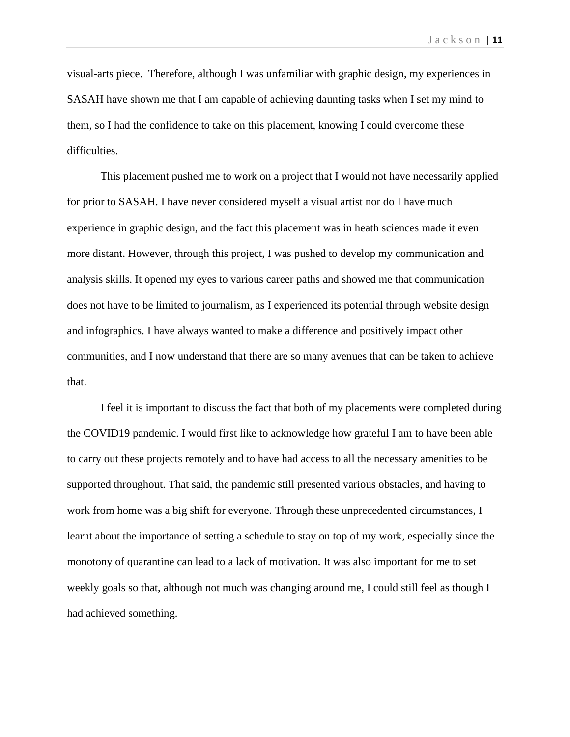visual-arts piece. Therefore, although I was unfamiliar with graphic design, my experiences in SASAH have shown me that I am capable of achieving daunting tasks when I set my mind to them, so I had the confidence to take on this placement, knowing I could overcome these difficulties.

This placement pushed me to work on a project that I would not have necessarily applied for prior to SASAH. I have never considered myself a visual artist nor do I have much experience in graphic design, and the fact this placement was in heath sciences made it even more distant. However, through this project, I was pushed to develop my communication and analysis skills. It opened my eyes to various career paths and showed me that communication does not have to be limited to journalism, as I experienced its potential through website design and infographics. I have always wanted to make a difference and positively impact other communities, and I now understand that there are so many avenues that can be taken to achieve that.

I feel it is important to discuss the fact that both of my placements were completed during the COVID19 pandemic. I would first like to acknowledge how grateful I am to have been able to carry out these projects remotely and to have had access to all the necessary amenities to be supported throughout. That said, the pandemic still presented various obstacles, and having to work from home was a big shift for everyone. Through these unprecedented circumstances, I learnt about the importance of setting a schedule to stay on top of my work, especially since the monotony of quarantine can lead to a lack of motivation. It was also important for me to set weekly goals so that, although not much was changing around me, I could still feel as though I had achieved something.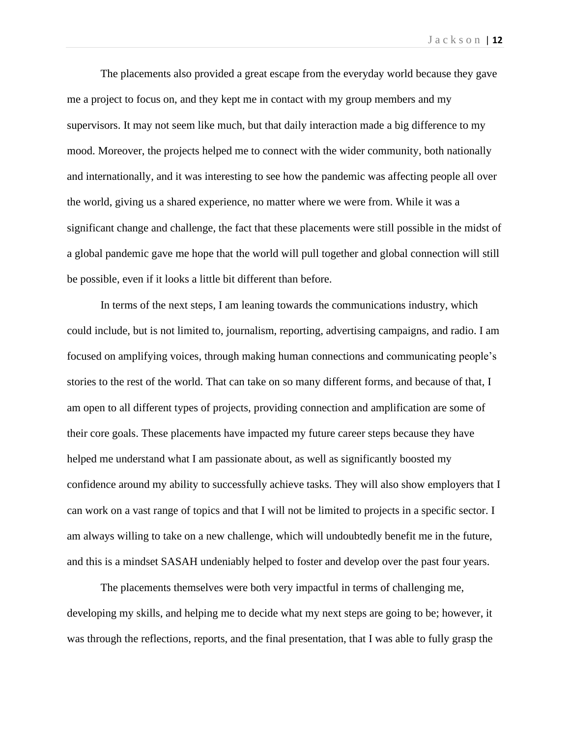The placements also provided a great escape from the everyday world because they gave me a project to focus on, and they kept me in contact with my group members and my supervisors. It may not seem like much, but that daily interaction made a big difference to my mood. Moreover, the projects helped me to connect with the wider community, both nationally and internationally, and it was interesting to see how the pandemic was affecting people all over the world, giving us a shared experience, no matter where we were from. While it was a significant change and challenge, the fact that these placements were still possible in the midst of a global pandemic gave me hope that the world will pull together and global connection will still be possible, even if it looks a little bit different than before.

In terms of the next steps, I am leaning towards the communications industry, which could include, but is not limited to, journalism, reporting, advertising campaigns, and radio. I am focused on amplifying voices, through making human connections and communicating people's stories to the rest of the world. That can take on so many different forms, and because of that, I am open to all different types of projects, providing connection and amplification are some of their core goals. These placements have impacted my future career steps because they have helped me understand what I am passionate about, as well as significantly boosted my confidence around my ability to successfully achieve tasks. They will also show employers that I can work on a vast range of topics and that I will not be limited to projects in a specific sector. I am always willing to take on a new challenge, which will undoubtedly benefit me in the future, and this is a mindset SASAH undeniably helped to foster and develop over the past four years.

The placements themselves were both very impactful in terms of challenging me, developing my skills, and helping me to decide what my next steps are going to be; however, it was through the reflections, reports, and the final presentation, that I was able to fully grasp the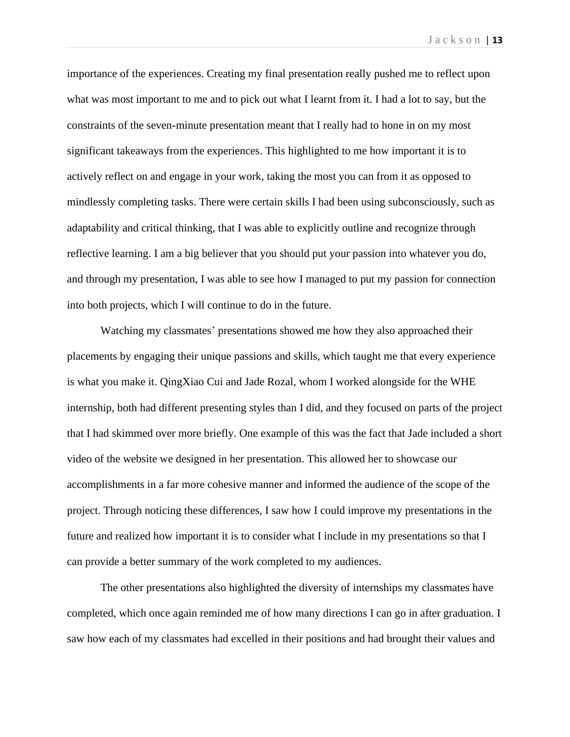importance of the experiences. Creating my final presentation really pushed me to reflect upon what was most important to me and to pick out what I learnt from it. I had a lot to say, but the constraints of the seven-minute presentation meant that I really had to hone in on my most significant takeaways from the experiences. This highlighted to me how important it is to actively reflect on and engage in your work, taking the most you can from it as opposed to mindlessly completing tasks. There were certain skills I had been using subconsciously, such as adaptability and critical thinking, that I was able to explicitly outline and recognize through reflective learning. I am a big believer that you should put your passion into whatever you do, and through my presentation, I was able to see how I managed to put my passion for connection into both projects, which I will continue to do in the future.

Watching my classmates' presentations showed me how they also approached their placements by engaging their unique passions and skills, which taught me that every experience is what you make it. QingXiao Cui and Jade Rozal, whom I worked alongside for the WHE internship, both had different presenting styles than I did, and they focused on parts of the project that I had skimmed over more briefly. One example of this was the fact that Jade included a short video of the website we designed in her presentation. This allowed her to showcase our accomplishments in a far more cohesive manner and informed the audience of the scope of the project. Through noticing these differences, I saw how I could improve my presentations in the future and realized how important it is to consider what I include in my presentations so that I can provide a better summary of the work completed to my audiences.

The other presentations also highlighted the diversity of internships my classmates have completed, which once again reminded me of how many directions I can go in after graduation. I saw how each of my classmates had excelled in their positions and had brought their values and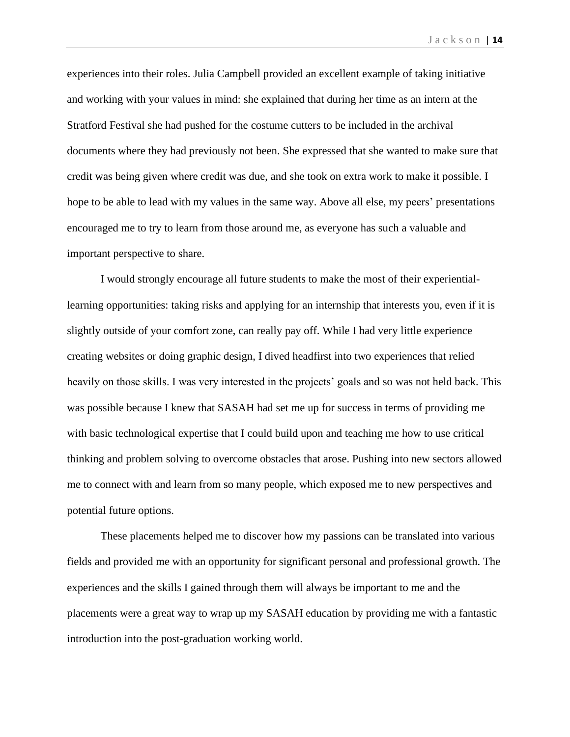experiences into their roles. Julia Campbell provided an excellent example of taking initiative and working with your values in mind: she explained that during her time as an intern at the Stratford Festival she had pushed for the costume cutters to be included in the archival documents where they had previously not been. She expressed that she wanted to make sure that credit was being given where credit was due, and she took on extra work to make it possible. I hope to be able to lead with my values in the same way. Above all else, my peers' presentations encouraged me to try to learn from those around me, as everyone has such a valuable and important perspective to share.

I would strongly encourage all future students to make the most of their experientiallearning opportunities: taking risks and applying for an internship that interests you, even if it is slightly outside of your comfort zone, can really pay off. While I had very little experience creating websites or doing graphic design, I dived headfirst into two experiences that relied heavily on those skills. I was very interested in the projects' goals and so was not held back. This was possible because I knew that SASAH had set me up for success in terms of providing me with basic technological expertise that I could build upon and teaching me how to use critical thinking and problem solving to overcome obstacles that arose. Pushing into new sectors allowed me to connect with and learn from so many people, which exposed me to new perspectives and potential future options.

These placements helped me to discover how my passions can be translated into various fields and provided me with an opportunity for significant personal and professional growth. The experiences and the skills I gained through them will always be important to me and the placements were a great way to wrap up my SASAH education by providing me with a fantastic introduction into the post-graduation working world.